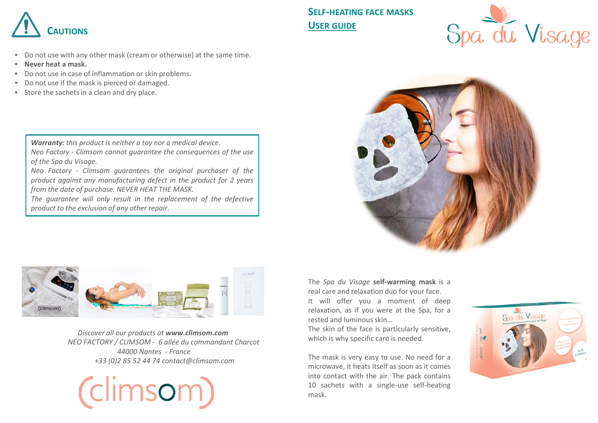

- Do not use with any other mask (cream or otherwise) at the same time.
- **Never heat a mask.**
- Do not use in case of inflammation or skin problems.
- Do not use if the mask is pierced or damaged.
- Store the sachets in a clean and dry place.

*Warranty: this product is neither a toy nor a medical device. Neo Factory - Climsom cannot guarantee the consequences of the use of the Spa du Visage.*

*Neo Factory - Climsom guarantees the original purchaser of the product against any manufacturing defect in the product for 2 years from the date of purchase. NEVER HEAT THE MASK.*

*The guarantee will only result in the replacement of the defective product to the exclusion of any other repair.*

**SELF-HEATING FACE MASKS USER GUIDE**







*Discover all our products at www.climsom.com NEO FACTORY / CLIMSOM - 6 allée du commandant Charcot 44000 Nantes - France +33 (0)2 85 52 44 74 contact@climsom.com*



The *Spa du Visage* **self-warming mask** is a real care and relaxation duo for your face. It will offer you a moment of deep relaxation, as if you were at the Spa, for a

The skin of the face is particularly sensitive, which is why specific care is needed.

rested and luminous skin...

The mask is very easy to use. No need for a microwave, it heats itself as soon as it comes into contact with the air. The pack contains 10 sachets with a single-use self-heating mask.